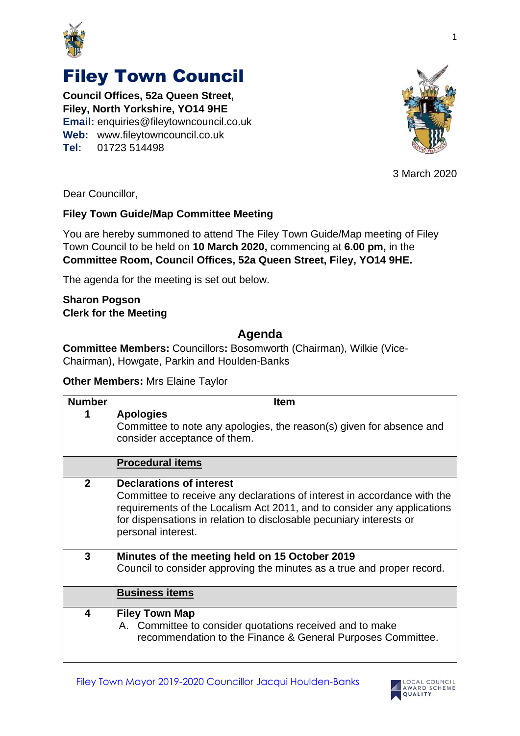

# Filey Town Council

**Council Offices, 52a Queen Street, Filey, North Yorkshire, YO14 9HE Email:** enquiries@fileytowncouncil.co.uk **Web:** www.fileytowncouncil.co.uk **Tel:** 01723 514498



3 March 2020

Dear Councillor,

### **Filey Town Guide/Map Committee Meeting**

You are hereby summoned to attend The Filey Town Guide/Map meeting of Filey Town Council to be held on **10 March 2020,** commencing at **6.00 pm,** in the **Committee Room, Council Offices, 52a Queen Street, Filey, YO14 9HE.**

The agenda for the meeting is set out below.

#### **Sharon Pogson Clerk for the Meeting**

## **Agenda**

**Committee Members:** Councillors**:** Bosomworth (Chairman), Wilkie (Vice-Chairman), Howgate, Parkin and Houlden-Banks

#### **Other Members:** Mrs Elaine Taylor

| <b>Number</b>  | <b>Item</b>                                                                                                                                                                                                                                                                         |
|----------------|-------------------------------------------------------------------------------------------------------------------------------------------------------------------------------------------------------------------------------------------------------------------------------------|
|                | <b>Apologies</b><br>Committee to note any apologies, the reason(s) given for absence and<br>consider acceptance of them.                                                                                                                                                            |
|                | <b>Procedural items</b>                                                                                                                                                                                                                                                             |
| $\overline{2}$ | <b>Declarations of interest</b><br>Committee to receive any declarations of interest in accordance with the<br>requirements of the Localism Act 2011, and to consider any applications<br>for dispensations in relation to disclosable pecuniary interests or<br>personal interest. |
| $\mathbf{3}$   | Minutes of the meeting held on 15 October 2019<br>Council to consider approving the minutes as a true and proper record.                                                                                                                                                            |
|                | <b>Business items</b>                                                                                                                                                                                                                                                               |
| 4              | <b>Filey Town Map</b><br>A. Committee to consider quotations received and to make<br>recommendation to the Finance & General Purposes Committee.                                                                                                                                    |